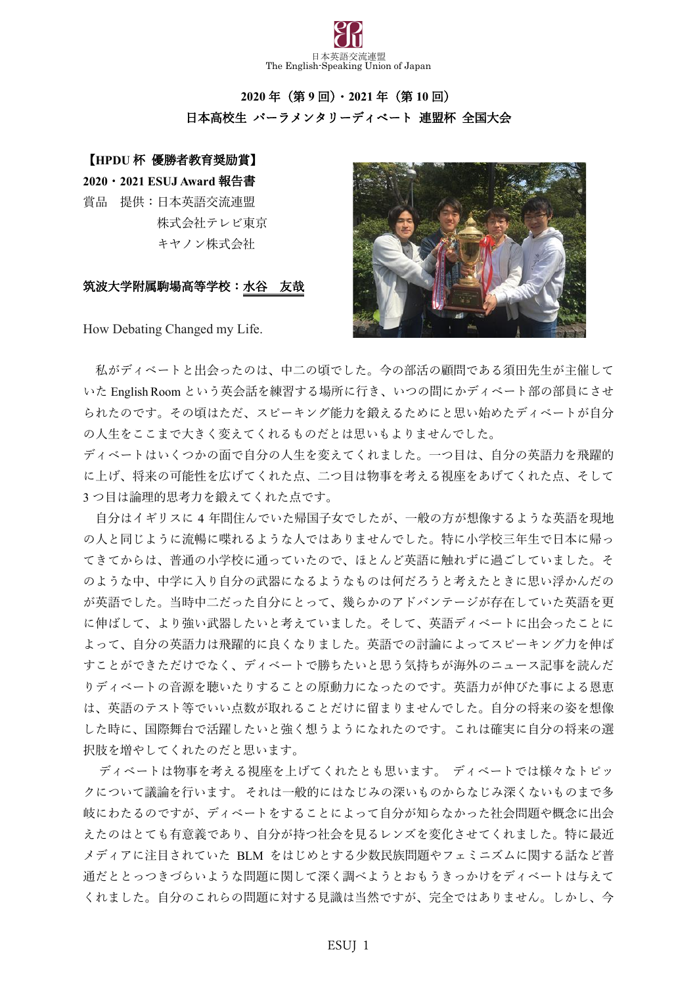

# **2020** 年(第 **9** 回)・**2021** 年(第 **10** 回) 日本高校生 パーラメンタリーディベート 連盟杯 全国大会

## 【**HPDU** 杯 優勝者教育奨励賞】

**2020**・**2021 ESUJ Award** 報告書 賞品 提供:日本英語交流連盟 株式会社テレビ東京 キヤノン株式会社

## 筑波大学附属駒場高等学校:水谷 友哉



How Debating Changed my Life.

私がディベートと出会ったのは、中二の頃でした。今の部活の顧問である須田先生が主催して いた English Room という英会話を練習する場所に行き、いつの間にかディベート部の部員にさせ られたのです。その頃はただ、スピーキング能力を鍛えるためにと思い始めたディベートが自分 の人生をここまで大きく変えてくれるものだとは思いもよりませんでした。

ディベートはいくつかの面で自分の人生を変えてくれました。一つ目は、自分の英語力を飛躍的 に上げ、将来の可能性を広げてくれた点、二つ目は物事を考える視座をあげてくれた点、そして 3 つ目は論理的思考力を鍛えてくれた点です。

自分はイギリスに 4 年間住んでいた帰国子女でしたが、一般の方が想像するような英語を現地 の人と同じように流暢に喋れるような人ではありませんでした。特に小学校三年生で日本に帰っ てきてからは、普通の小学校に通っていたので、ほとんど英語に触れずに過ごしていました。そ のような中、中学に入り自分の武器になるようなものは何だろうと考えたときに思い浮かんだの が英語でした。当時中二だった自分にとって、幾らかのアドバンテージが存在していた英語を更 に伸ばして、より強い武器したいと考えていました。そして、英語ディベートに出会ったことに よって、自分の英語力は飛躍的に良くなりました。英語での討論によってスピーキング力を伸ば すことができただけでなく、ディベートで勝ちたいと思う気持ちが海外のニュース記事を読んだ りディベートの音源を聴いたりすることの原動力になったのです。英語力が伸びた事による恩恵 は、英語のテスト等でいい点数が取れることだけに留まりませんでした。自分の将来の姿を想像 した時に、国際舞台で活躍したいと強く想うようになれたのです。これは確実に自分の将来の選 択肢を増やしてくれたのだと思います。

ディベートは物事を考える視座を上げてくれたとも思います。 ディベートでは様々なトピッ クについて議論を行います。 それは一般的にはなじみの深いものからなじみ深くないものまで多 岐にわたるのですが、ディベートをすることによって自分が知らなかった社会問題や概念に出会 えたのはとても有意義であり、自分が持つ社会を見るレンズを変化させてくれました。特に最近 メディアに注目されていた BLM をはじめとする少数民族問題やフェミニズムに関する話など普 通だととっつきづらいような問題に関して深く調べようとおもうきっかけをディベートは与えて くれました。自分のこれらの問題に対する見識は当然ですが、完全ではありません。しかし、今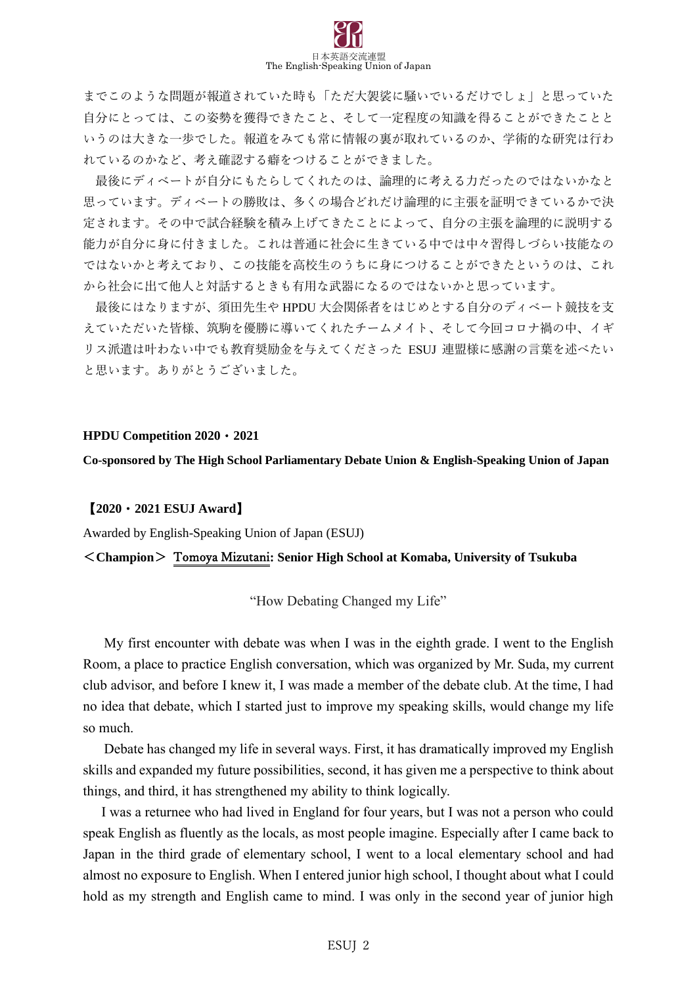

までこのような問題が報道されていた時も「ただ大袈裟に騒いでいるだけでしょ」と思っていた 自分にとっては、この姿勢を獲得できたこと、そして一定程度の知識を得ることができたことと いうのは大きな一歩でした。報道をみても常に情報の裏が取れているのか、学術的な研究は行わ れているのかなど、考え確認する癖をつけることができました。

最後にディベートが自分にもたらしてくれたのは、論理的に考える力だったのではないかなと 思っています。ディベートの勝敗は、多くの場合どれだけ論理的に主張を証明できているかで決 定されます。その中で試合経験を積み上げてきたことによって、自分の主張を論理的に説明する 能力が自分に身に付きました。これは普通に社会に生きている中では中々習得しづらい技能なの ではないかと考えており、この技能を高校生のうちに身につけることができたというのは、これ から社会に出て他人と対話するときも有用な武器になるのではないかと思っています。

最後にはなりますが、須田先生や HPDU 大会関係者をはじめとする自分のディベート競技を支 えていただいた皆様、筑駒を優勝に導いてくれたチームメイト、そして今回コロナ禍の中、イギ リス派遣は叶わない中でも教育奨励金を与えてくださった ESUJ 連盟様に感謝の言葉を述べたい と思います。ありがとうございました。

#### **HPDU Competition 2020**・**2021**

**Co-sponsored by The High School Parliamentary Debate Union & English-Speaking Union of Japan**

### 【**2020**・**2021 ESUJ Award**】

Awarded by English-Speaking Union of Japan (ESUJ)

### <**Champion**> Tomoya Mizutani**: Senior High School at Komaba, University of Tsukuba**

"How Debating Changed my Life"

My first encounter with debate was when I was in the eighth grade. I went to the English Room, a place to practice English conversation, which was organized by Mr. Suda, my current club advisor, and before I knew it, I was made a member of the debate club. At the time, I had no idea that debate, which I started just to improve my speaking skills, would change my life so much.

Debate has changed my life in several ways. First, it has dramatically improved my English skills and expanded my future possibilities, second, it has given me a perspective to think about things, and third, it has strengthened my ability to think logically.

I was a returnee who had lived in England for four years, but I was not a person who could speak English as fluently as the locals, as most people imagine. Especially after I came back to Japan in the third grade of elementary school, I went to a local elementary school and had almost no exposure to English. When I entered junior high school, I thought about what I could hold as my strength and English came to mind. I was only in the second year of junior high